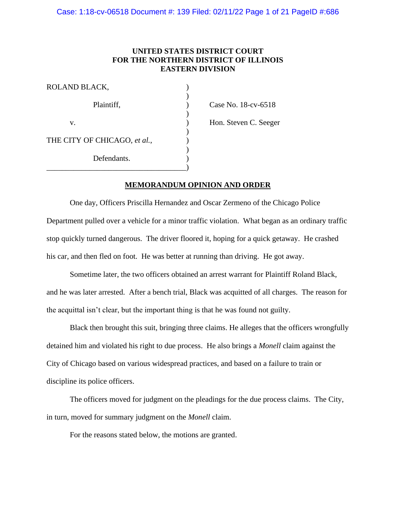# **UNITED STATES DISTRICT COURT FOR THE NORTHERN DISTRICT OF ILLINOIS EASTERN DIVISION**

)

)

)

| ROLAND BLACK,                |  |
|------------------------------|--|
| Plaintiff,                   |  |
| V.                           |  |
| THE CITY OF CHICAGO, et al., |  |
| Defendants.                  |  |
|                              |  |

 $P$  Case No. 18-cv-6518

) Hon. Steven C. Seeger

# **MEMORANDUM OPINION AND ORDER**

One day, Officers Priscilla Hernandez and Oscar Zermeno of the Chicago Police Department pulled over a vehicle for a minor traffic violation. What began as an ordinary traffic stop quickly turned dangerous. The driver floored it, hoping for a quick getaway. He crashed his car, and then fled on foot. He was better at running than driving. He got away.

Sometime later, the two officers obtained an arrest warrant for Plaintiff Roland Black, and he was later arrested. After a bench trial, Black was acquitted of all charges. The reason for the acquittal isn't clear, but the important thing is that he was found not guilty.

Black then brought this suit, bringing three claims. He alleges that the officers wrongfully detained him and violated his right to due process. He also brings a *Monell* claim against the City of Chicago based on various widespread practices, and based on a failure to train or discipline its police officers.

The officers moved for judgment on the pleadings for the due process claims. The City, in turn, moved for summary judgment on the *Monell* claim.

For the reasons stated below, the motions are granted.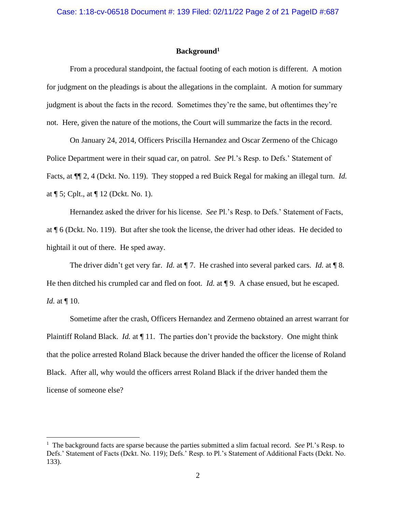### **Background<sup>1</sup>**

From a procedural standpoint, the factual footing of each motion is different. A motion for judgment on the pleadings is about the allegations in the complaint. A motion for summary judgment is about the facts in the record. Sometimes they're the same, but oftentimes they're not. Here, given the nature of the motions, the Court will summarize the facts in the record.

On January 24, 2014, Officers Priscilla Hernandez and Oscar Zermeno of the Chicago Police Department were in their squad car, on patrol. *See* Pl.'s Resp. to Defs.' Statement of Facts, at ¶¶ 2, 4 (Dckt. No. 119). They stopped a red Buick Regal for making an illegal turn. *Id.* at ¶ 5; Cplt., at ¶ 12 (Dckt. No. 1).

Hernandez asked the driver for his license. *See* Pl.'s Resp. to Defs.' Statement of Facts, at ¶ 6 (Dckt. No. 119). But after she took the license, the driver had other ideas. He decided to hightail it out of there. He sped away.

The driver didn't get very far. *Id.* at  $\P$  7. He crashed into several parked cars. *Id.* at  $\P$  8. He then ditched his crumpled car and fled on foot. *Id.* at **[9.** A chase ensued, but he escaped. *Id.* at ¶ 10.

Sometime after the crash, Officers Hernandez and Zermeno obtained an arrest warrant for Plaintiff Roland Black. *Id.* at ¶ 11. The parties don't provide the backstory. One might think that the police arrested Roland Black because the driver handed the officer the license of Roland Black. After all, why would the officers arrest Roland Black if the driver handed them the license of someone else?

<sup>1</sup> The background facts are sparse because the parties submitted a slim factual record. *See* Pl.'s Resp. to Defs.' Statement of Facts (Dckt. No. 119); Defs.' Resp. to Pl.'s Statement of Additional Facts (Dckt. No. 133).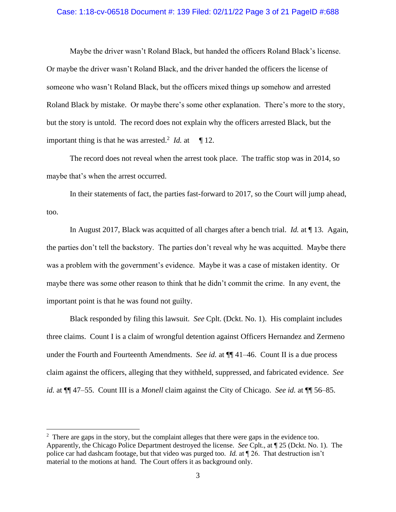### Case: 1:18-cv-06518 Document #: 139 Filed: 02/11/22 Page 3 of 21 PageID #:688

Maybe the driver wasn't Roland Black, but handed the officers Roland Black's license. Or maybe the driver wasn't Roland Black, and the driver handed the officers the license of someone who wasn't Roland Black, but the officers mixed things up somehow and arrested Roland Black by mistake. Or maybe there's some other explanation. There's more to the story, but the story is untold. The record does not explain why the officers arrested Black, but the important thing is that he was arrested.<sup>2</sup> *Id.* at  $\int$  12.

The record does not reveal when the arrest took place. The traffic stop was in 2014, so maybe that's when the arrest occurred.

In their statements of fact, the parties fast-forward to 2017, so the Court will jump ahead, too.

In August 2017, Black was acquitted of all charges after a bench trial. *Id.* at ¶ 13. Again, the parties don't tell the backstory. The parties don't reveal why he was acquitted. Maybe there was a problem with the government's evidence. Maybe it was a case of mistaken identity. Or maybe there was some other reason to think that he didn't commit the crime. In any event, the important point is that he was found not guilty.

Black responded by filing this lawsuit. *See* Cplt. (Dckt. No. 1). His complaint includes three claims. Count I is a claim of wrongful detention against Officers Hernandez and Zermeno under the Fourth and Fourteenth Amendments. *See id.* at ¶¶ 41–46. Count II is a due process claim against the officers, alleging that they withheld, suppressed, and fabricated evidence. *See id.* at ¶¶ 47–55. Count III is a *Monell* claim against the City of Chicago. *See id.* at ¶¶ 56–85.

 $2$  There are gaps in the story, but the complaint alleges that there were gaps in the evidence too. Apparently, the Chicago Police Department destroyed the license. *See* Cplt., at ¶ 25 (Dckt. No. 1). The police car had dashcam footage, but that video was purged too. *Id.* at ¶ 26. That destruction isn't material to the motions at hand. The Court offers it as background only.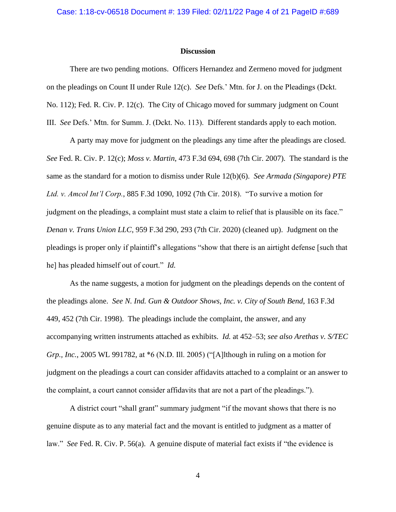### Case: 1:18-cv-06518 Document #: 139 Filed: 02/11/22 Page 4 of 21 PageID #:689

#### **Discussion**

There are two pending motions. Officers Hernandez and Zermeno moved for judgment on the pleadings on Count II under Rule 12(c). *See* Defs.' Mtn. for J. on the Pleadings (Dckt. No. 112); Fed. R. Civ. P. 12(c). The City of Chicago moved for summary judgment on Count III. *See* Defs.' Mtn. for Summ. J. (Dckt. No. 113). Different standards apply to each motion.

A party may move for judgment on the pleadings any time after the pleadings are closed. *See* Fed. R. Civ. P. 12(c); *Moss v. Martin*, 473 F.3d 694, 698 (7th Cir. 2007). The standard is the same as the standard for a motion to dismiss under Rule 12(b)(6). *See Armada (Singapore) PTE Ltd. v. Amcol Int'l Corp.*, 885 F.3d 1090, 1092 (7th Cir. 2018). "To survive a motion for judgment on the pleadings, a complaint must state a claim to relief that is plausible on its face." *Denan v. Trans Union LLC*, 959 F.3d 290, 293 (7th Cir. 2020) (cleaned up). Judgment on the pleadings is proper only if plaintiff's allegations "show that there is an airtight defense [such that he] has pleaded himself out of court." *Id.*

As the name suggests, a motion for judgment on the pleadings depends on the content of the pleadings alone. *See N. Ind. Gun & Outdoor Shows, Inc. v. City of South Bend*, 163 F.3d 449, 452 (7th Cir. 1998). The pleadings include the complaint, the answer, and any accompanying written instruments attached as exhibits. *Id.* at 452–53; *see also Arethas v. S/TEC Grp., Inc.*, 2005 WL 991782, at \*6 (N.D. Ill. 2005) ("[A]lthough in ruling on a motion for judgment on the pleadings a court can consider affidavits attached to a complaint or an answer to the complaint, a court cannot consider affidavits that are not a part of the pleadings.").

A district court "shall grant" summary judgment "if the movant shows that there is no genuine dispute as to any material fact and the movant is entitled to judgment as a matter of law." *See* Fed. R. Civ. P. 56(a). A genuine dispute of material fact exists if "the evidence is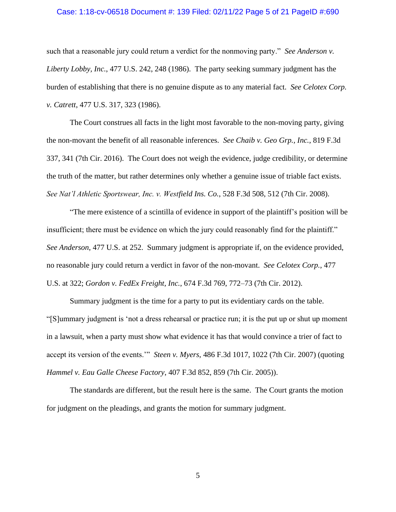### Case: 1:18-cv-06518 Document #: 139 Filed: 02/11/22 Page 5 of 21 PageID #:690

such that a reasonable jury could return a verdict for the nonmoving party." *See Anderson v. Liberty Lobby, Inc.*, 477 U.S. 242, 248 (1986). The party seeking summary judgment has the burden of establishing that there is no genuine dispute as to any material fact. *See Celotex Corp. v. Catrett*, 477 U.S. 317, 323 (1986).

The Court construes all facts in the light most favorable to the non-moving party, giving the non-movant the benefit of all reasonable inferences. *See Chaib v. Geo Grp., Inc.*, 819 F.3d 337, 341 (7th Cir. 2016). The Court does not weigh the evidence, judge credibility, or determine the truth of the matter, but rather determines only whether a genuine issue of triable fact exists. *See Nat'l Athletic Sportswear, Inc. v. Westfield Ins. Co.*, 528 F.3d 508, 512 (7th Cir. 2008).

"The mere existence of a scintilla of evidence in support of the plaintiff's position will be insufficient; there must be evidence on which the jury could reasonably find for the plaintiff." *See Anderson*, 477 U.S. at 252. Summary judgment is appropriate if, on the evidence provided, no reasonable jury could return a verdict in favor of the non-movant. *See Celotex Corp.*, 477 U.S. at 322; *Gordon v. FedEx Freight, Inc.*, 674 F.3d 769, 772–73 (7th Cir. 2012).

Summary judgment is the time for a party to put its evidentiary cards on the table. "[S]ummary judgment is 'not a dress rehearsal or practice run; it is the put up or shut up moment in a lawsuit, when a party must show what evidence it has that would convince a trier of fact to accept its version of the events.'" *Steen v. Myers*, 486 F.3d 1017, 1022 (7th Cir. 2007) (quoting *Hammel v. Eau Galle Cheese Factory*, 407 F.3d 852, 859 (7th Cir. 2005)).

The standards are different, but the result here is the same. The Court grants the motion for judgment on the pleadings, and grants the motion for summary judgment.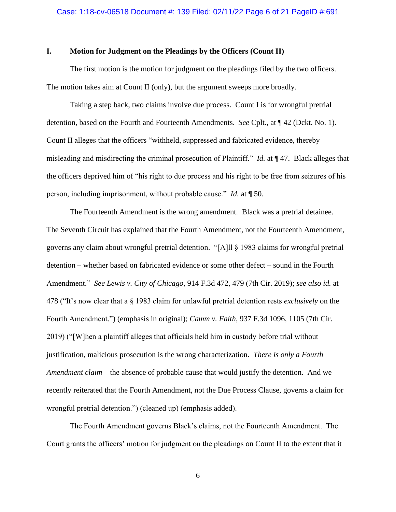### **I. Motion for Judgment on the Pleadings by the Officers (Count II)**

The first motion is the motion for judgment on the pleadings filed by the two officers. The motion takes aim at Count II (only), but the argument sweeps more broadly.

Taking a step back, two claims involve due process. Count I is for wrongful pretrial detention, based on the Fourth and Fourteenth Amendments. *See* Cplt., at ¶ 42 (Dckt. No. 1). Count II alleges that the officers "withheld, suppressed and fabricated evidence, thereby misleading and misdirecting the criminal prosecution of Plaintiff." *Id.* at ¶ 47. Black alleges that the officers deprived him of "his right to due process and his right to be free from seizures of his person, including imprisonment, without probable cause." *Id.* at ¶ 50.

The Fourteenth Amendment is the wrong amendment. Black was a pretrial detainee. The Seventh Circuit has explained that the Fourth Amendment, not the Fourteenth Amendment, governs any claim about wrongful pretrial detention. "[A]ll § 1983 claims for wrongful pretrial detention – whether based on fabricated evidence or some other defect – sound in the Fourth Amendment." *See Lewis v. City of Chicago*, 914 F.3d 472, 479 (7th Cir. 2019); *see also id.* at 478 ("It's now clear that a § 1983 claim for unlawful pretrial detention rests *exclusively* on the Fourth Amendment.") (emphasis in original); *Camm v. Faith*, 937 F.3d 1096, 1105 (7th Cir. 2019) ("[W]hen a plaintiff alleges that officials held him in custody before trial without justification, malicious prosecution is the wrong characterization. *There is only a Fourth Amendment claim* – the absence of probable cause that would justify the detention. And we recently reiterated that the Fourth Amendment, not the Due Process Clause, governs a claim for wrongful pretrial detention.") (cleaned up) (emphasis added).

The Fourth Amendment governs Black's claims, not the Fourteenth Amendment. The Court grants the officers' motion for judgment on the pleadings on Count II to the extent that it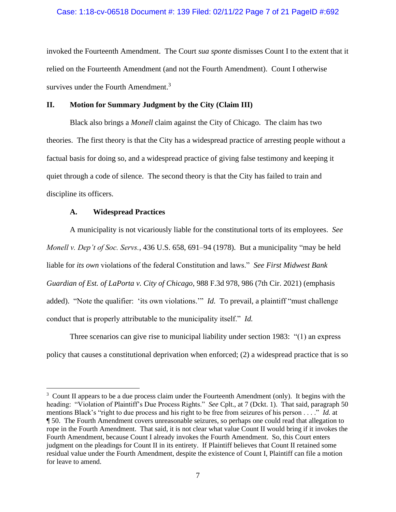### Case: 1:18-cv-06518 Document #: 139 Filed: 02/11/22 Page 7 of 21 PageID #:692

invoked the Fourteenth Amendment. The Court *sua sponte* dismisses Count I to the extent that it relied on the Fourteenth Amendment (and not the Fourth Amendment). Count I otherwise survives under the Fourth Amendment.<sup>3</sup>

### **II. Motion for Summary Judgment by the City (Claim III)**

Black also brings a *Monell* claim against the City of Chicago. The claim has two theories. The first theory is that the City has a widespread practice of arresting people without a factual basis for doing so, and a widespread practice of giving false testimony and keeping it quiet through a code of silence. The second theory is that the City has failed to train and discipline its officers.

### **A. Widespread Practices**

A municipality is not vicariously liable for the constitutional torts of its employees. *See Monell v. Dep't of Soc. Servs.*, 436 U.S. 658, 691–94 (1978). But a municipality "may be held liable for *its own* violations of the federal Constitution and laws." *See First Midwest Bank Guardian of Est. of LaPorta v. City of Chicago*, 988 F.3d 978, 986 (7th Cir. 2021) (emphasis added). "Note the qualifier: 'its own violations.'" *Id.* To prevail, a plaintiff "must challenge conduct that is properly attributable to the municipality itself." *Id.* 

Three scenarios can give rise to municipal liability under section 1983: "(1) an express policy that causes a constitutional deprivation when enforced; (2) a widespread practice that is so

 $3$  Count II appears to be a due process claim under the Fourteenth Amendment (only). It begins with the heading: "Violation of Plaintiff's Due Process Rights." *See* Cplt., at 7 (Dckt. 1). That said, paragraph 50 mentions Black's "right to due process and his right to be free from seizures of his person . . . ." *Id.* at ¶ 50. The Fourth Amendment covers unreasonable seizures, so perhaps one could read that allegation to rope in the Fourth Amendment. That said, it is not clear what value Count II would bring if it invokes the Fourth Amendment, because Count I already invokes the Fourth Amendment. So, this Court enters judgment on the pleadings for Count II in its entirety. If Plaintiff believes that Count II retained some residual value under the Fourth Amendment, despite the existence of Count I, Plaintiff can file a motion for leave to amend.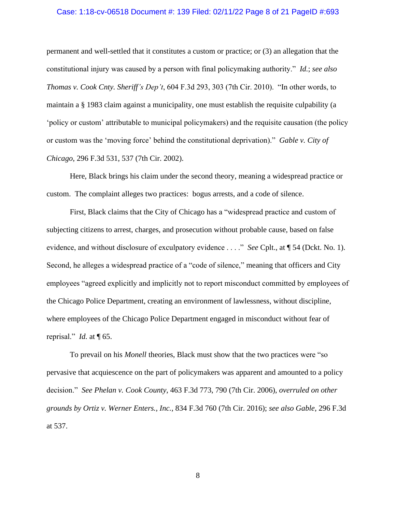### Case: 1:18-cv-06518 Document #: 139 Filed: 02/11/22 Page 8 of 21 PageID #:693

permanent and well-settled that it constitutes a custom or practice; or (3) an allegation that the constitutional injury was caused by a person with final policymaking authority." *Id.*; *see also Thomas v. Cook Cnty. Sheriff's Dep't*, 604 F.3d 293, 303 (7th Cir. 2010). "In other words, to maintain a § 1983 claim against a municipality, one must establish the requisite culpability (a 'policy or custom' attributable to municipal policymakers) and the requisite causation (the policy or custom was the 'moving force' behind the constitutional deprivation)." *Gable v. City of Chicago*, 296 F.3d 531, 537 (7th Cir. 2002).

Here, Black brings his claim under the second theory, meaning a widespread practice or custom. The complaint alleges two practices: bogus arrests, and a code of silence.

First, Black claims that the City of Chicago has a "widespread practice and custom of subjecting citizens to arrest, charges, and prosecution without probable cause, based on false evidence, and without disclosure of exculpatory evidence . . . ." *See* Cplt., at ¶ 54 (Dckt. No. 1). Second, he alleges a widespread practice of a "code of silence," meaning that officers and City employees "agreed explicitly and implicitly not to report misconduct committed by employees of the Chicago Police Department, creating an environment of lawlessness, without discipline, where employees of the Chicago Police Department engaged in misconduct without fear of reprisal." *Id.* at ¶ 65.

To prevail on his *Monell* theories, Black must show that the two practices were "so pervasive that acquiescence on the part of policymakers was apparent and amounted to a policy decision." *See Phelan v. Cook County*, 463 F.3d 773, 790 (7th Cir. 2006), *overruled on other grounds by Ortiz v. Werner Enters., Inc.*, 834 F.3d 760 (7th Cir. 2016); *see also Gable*, 296 F.3d at 537.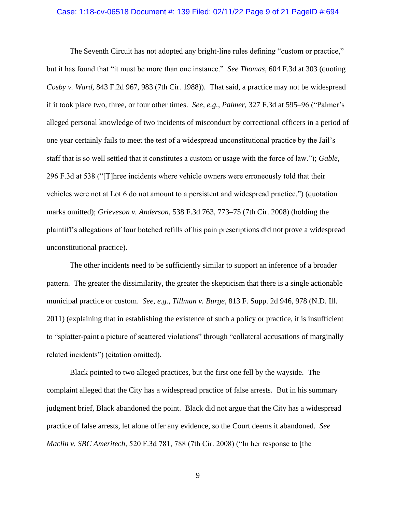## Case: 1:18-cv-06518 Document #: 139 Filed: 02/11/22 Page 9 of 21 PageID #:694

The Seventh Circuit has not adopted any bright-line rules defining "custom or practice," but it has found that "it must be more than one instance." *See Thomas*, 604 F.3d at 303 (quoting *Cosby v. Ward*, 843 F.2d 967, 983 (7th Cir. 1988)). That said, a practice may not be widespread if it took place two, three, or four other times. *See, e.g.*, *Palmer*, 327 F.3d at 595–96 ("Palmer's alleged personal knowledge of two incidents of misconduct by correctional officers in a period of one year certainly fails to meet the test of a widespread unconstitutional practice by the Jail's staff that is so well settled that it constitutes a custom or usage with the force of law."); *Gable*, 296 F.3d at 538 ("[T]hree incidents where vehicle owners were erroneously told that their vehicles were not at Lot 6 do not amount to a persistent and widespread practice.") (quotation marks omitted); *Grieveson v. Anderson*, 538 F.3d 763, 773–75 (7th Cir. 2008) (holding the plaintiff's allegations of four botched refills of his pain prescriptions did not prove a widespread unconstitutional practice).

The other incidents need to be sufficiently similar to support an inference of a broader pattern. The greater the dissimilarity, the greater the skepticism that there is a single actionable municipal practice or custom. *See, e.g.*, *Tillman v. Burge*, 813 F. Supp. 2d 946, 978 (N.D. Ill. 2011) (explaining that in establishing the existence of such a policy or practice, it is insufficient to "splatter-paint a picture of scattered violations" through "collateral accusations of marginally related incidents") (citation omitted).

Black pointed to two alleged practices, but the first one fell by the wayside. The complaint alleged that the City has a widespread practice of false arrests. But in his summary judgment brief, Black abandoned the point. Black did not argue that the City has a widespread practice of false arrests, let alone offer any evidence, so the Court deems it abandoned. *See Maclin v. SBC Ameritech*, 520 F.3d 781, 788 (7th Cir. 2008) ("In her response to [the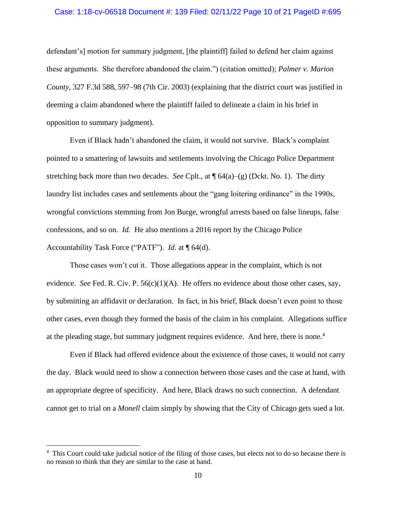### Case: 1:18-cv-06518 Document #: 139 Filed: 02/11/22 Page 10 of 21 PageID #:695

defendant's] motion for summary judgment, [the plaintiff] failed to defend her claim against these arguments. She therefore abandoned the claim.") (citation omitted); *Palmer v. Marion County*, 327 F.3d 588, 597–98 (7th Cir. 2003) (explaining that the district court was justified in deeming a claim abandoned where the plaintiff failed to delineate a claim in his brief in opposition to summary judgment).

Even if Black hadn't abandoned the claim, it would not survive. Black's complaint pointed to a smattering of lawsuits and settlements involving the Chicago Police Department stretching back more than two decades. *See* Cplt., at  $\mathcal{P}(64(a) - (g)$  (Dckt. No. 1). The dirty laundry list includes cases and settlements about the "gang loitering ordinance" in the 1990s, wrongful convictions stemming from Jon Burge, wrongful arrests based on false lineups, false confessions, and so on. *Id.* He also mentions a 2016 report by the Chicago Police Accountability Task Force ("PATF"). *Id.* at ¶ 64(d).

Those cases won't cut it. Those allegations appear in the complaint, which is not evidence. *See* Fed. R. Civ. P.  $56(c)(1)(A)$ . He offers no evidence about those other cases, say, by submitting an affidavit or declaration. In fact, in his brief, Black doesn't even point to those other cases, even though they formed the basis of the claim in his complaint. Allegations suffice at the pleading stage, but summary judgment requires evidence. And here, there is none.<sup>4</sup>

Even if Black had offered evidence about the existence of those cases, it would not carry the day. Black would need to show a connection between those cases and the case at hand, with an appropriate degree of specificity. And here, Black draws no such connection. A defendant cannot get to trial on a *Monell* claim simply by showing that the City of Chicago gets sued a lot.

<sup>&</sup>lt;sup>4</sup> This Court could take judicial notice of the filing of those cases, but elects not to do so because there is no reason to think that they are similar to the case at hand.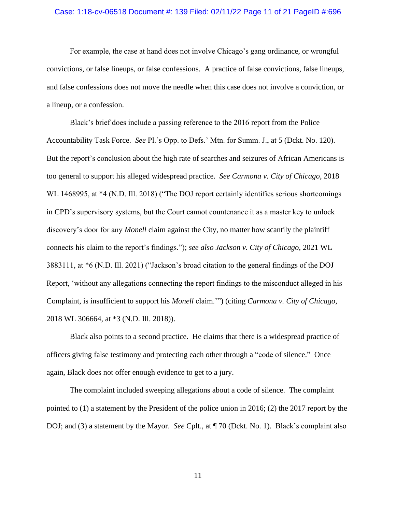## Case: 1:18-cv-06518 Document #: 139 Filed: 02/11/22 Page 11 of 21 PageID #:696

For example, the case at hand does not involve Chicago's gang ordinance, or wrongful convictions, or false lineups, or false confessions. A practice of false convictions, false lineups, and false confessions does not move the needle when this case does not involve a conviction, or a lineup, or a confession.

Black's brief does include a passing reference to the 2016 report from the Police Accountability Task Force. *See* Pl.'s Opp. to Defs.' Mtn. for Summ. J., at 5 (Dckt. No. 120). But the report's conclusion about the high rate of searches and seizures of African Americans is too general to support his alleged widespread practice. *See Carmona v. City of Chicago*, 2018 WL 1468995, at \*4 (N.D. Ill. 2018) ("The DOJ report certainly identifies serious shortcomings in CPD's supervisory systems, but the Court cannot countenance it as a master key to unlock discovery's door for any *Monell* claim against the City, no matter how scantily the plaintiff connects his claim to the report's findings."); *see also Jackson v. City of Chicago*, 2021 WL 3883111, at \*6 (N.D. Ill. 2021) ("Jackson's broad citation to the general findings of the DOJ Report, 'without any allegations connecting the report findings to the misconduct alleged in his Complaint, is insufficient to support his *Monell* claim.'") (citing *Carmona v. City of Chicago*, 2018 WL 306664, at \*3 (N.D. Ill. 2018)).

Black also points to a second practice. He claims that there is a widespread practice of officers giving false testimony and protecting each other through a "code of silence." Once again, Black does not offer enough evidence to get to a jury.

The complaint included sweeping allegations about a code of silence. The complaint pointed to (1) a statement by the President of the police union in 2016; (2) the 2017 report by the DOJ; and (3) a statement by the Mayor. *See* Cplt., at ¶ 70 (Dckt. No. 1). Black's complaint also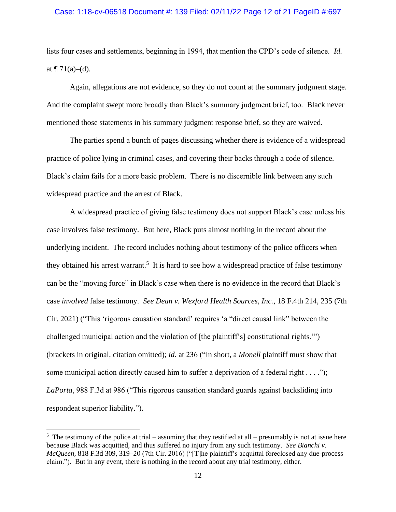### Case: 1:18-cv-06518 Document #: 139 Filed: 02/11/22 Page 12 of 21 PageID #:697

lists four cases and settlements, beginning in 1994, that mention the CPD's code of silence. *Id.* at  $\P 71(a)–(d)$ .

Again, allegations are not evidence, so they do not count at the summary judgment stage. And the complaint swept more broadly than Black's summary judgment brief, too. Black never mentioned those statements in his summary judgment response brief, so they are waived.

The parties spend a bunch of pages discussing whether there is evidence of a widespread practice of police lying in criminal cases, and covering their backs through a code of silence. Black's claim fails for a more basic problem. There is no discernible link between any such widespread practice and the arrest of Black.

A widespread practice of giving false testimony does not support Black's case unless his case involves false testimony. But here, Black puts almost nothing in the record about the underlying incident. The record includes nothing about testimony of the police officers when they obtained his arrest warrant.<sup>5</sup> It is hard to see how a widespread practice of false testimony can be the "moving force" in Black's case when there is no evidence in the record that Black's case *involved* false testimony. *See Dean v. Wexford Health Sources, Inc.*, 18 F.4th 214, 235 (7th Cir. 2021) ("This 'rigorous causation standard' requires 'a "direct causal link" between the challenged municipal action and the violation of [the plaintiff's] constitutional rights.'") (brackets in original, citation omitted); *id.* at 236 ("In short, a *Monell* plaintiff must show that some municipal action directly caused him to suffer a deprivation of a federal right . . . ."); *LaPorta*, 988 F.3d at 986 ("This rigorous causation standard guards against backsliding into respondeat superior liability.").

 $5$  The testimony of the police at trial – assuming that they testified at all – presumably is not at issue here because Black was acquitted, and thus suffered no injury from any such testimony. *See Bianchi v. McQueen*, 818 F.3d 309, 319–20 (7th Cir. 2016) ("[T]he plaintiff's acquittal foreclosed any due-process claim."). But in any event, there is nothing in the record about any trial testimony, either.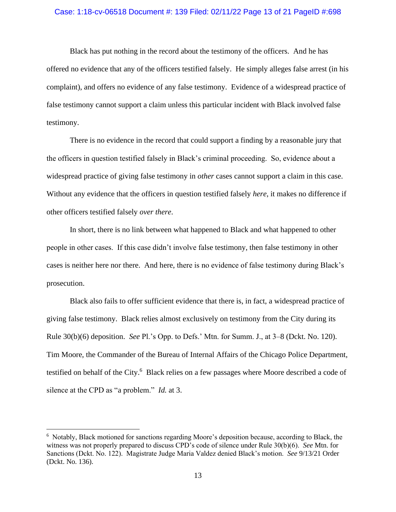### Case: 1:18-cv-06518 Document #: 139 Filed: 02/11/22 Page 13 of 21 PageID #:698

Black has put nothing in the record about the testimony of the officers. And he has offered no evidence that any of the officers testified falsely. He simply alleges false arrest (in his complaint), and offers no evidence of any false testimony. Evidence of a widespread practice of false testimony cannot support a claim unless this particular incident with Black involved false testimony.

There is no evidence in the record that could support a finding by a reasonable jury that the officers in question testified falsely in Black's criminal proceeding. So, evidence about a widespread practice of giving false testimony in *other* cases cannot support a claim in this case. Without any evidence that the officers in question testified falsely *here*, it makes no difference if other officers testified falsely *over there*.

In short, there is no link between what happened to Black and what happened to other people in other cases. If this case didn't involve false testimony, then false testimony in other cases is neither here nor there. And here, there is no evidence of false testimony during Black's prosecution.

Black also fails to offer sufficient evidence that there is, in fact, a widespread practice of giving false testimony. Black relies almost exclusively on testimony from the City during its Rule 30(b)(6) deposition. *See* Pl.'s Opp. to Defs.' Mtn. for Summ. J., at 3–8 (Dckt. No. 120). Tim Moore, the Commander of the Bureau of Internal Affairs of the Chicago Police Department, testified on behalf of the City.<sup>6</sup> Black relies on a few passages where Moore described a code of silence at the CPD as "a problem." *Id.* at 3.

<sup>6</sup> Notably, Black motioned for sanctions regarding Moore's deposition because, according to Black, the witness was not properly prepared to discuss CPD's code of silence under Rule 30(b)(6). *See* Mtn. for Sanctions (Dckt. No. 122). Magistrate Judge Maria Valdez denied Black's motion. *See* 9/13/21 Order (Dckt. No. 136).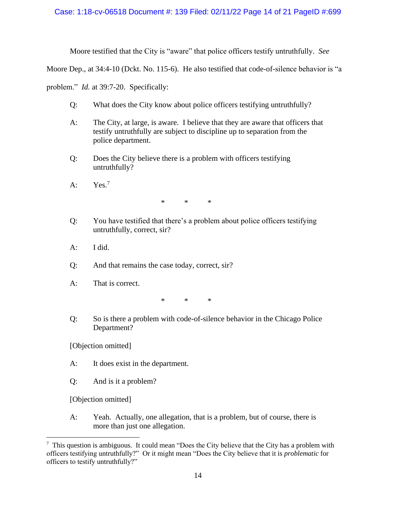## Case: 1:18-cv-06518 Document #: 139 Filed: 02/11/22 Page 14 of 21 PageID #:699

Moore testified that the City is "aware" that police officers testify untruthfully. *See* 

Moore Dep., at 34:4-10 (Dckt. No. 115-6). He also testified that code-of-silence behavior is "a

problem." *Id.* at 39:7-20. Specifically:

- Q: What does the City know about police officers testifying untruthfully?
- A: The City, at large, is aware. I believe that they are aware that officers that testify untruthfully are subject to discipline up to separation from the police department.
- Q: Does the City believe there is a problem with officers testifying untruthfully?
- A:  $Yes.<sup>7</sup>$

\* \* \*

- Q: You have testified that there's a problem about police officers testifying untruthfully, correct, sir?
- A: I did.
- Q: And that remains the case today, correct, sir?
- A: That is correct.

\* \* \*

Q: So is there a problem with code-of-silence behavior in the Chicago Police Department?

[Objection omitted]

- A: It does exist in the department.
- Q: And is it a problem?

[Objection omitted]

A: Yeah. Actually, one allegation, that is a problem, but of course, there is more than just one allegation.

<sup>&</sup>lt;sup>7</sup> This question is ambiguous. It could mean "Does the City believe that the City has a problem with officers testifying untruthfully?" Or it might mean "Does the City believe that it is *problematic* for officers to testify untruthfully?"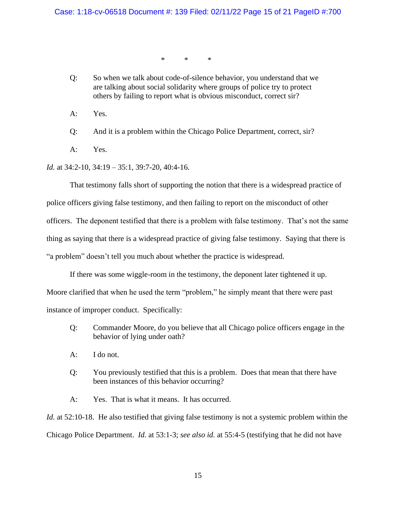\* \* \*

Q: So when we talk about code-of-silence behavior, you understand that we are talking about social solidarity where groups of police try to protect others by failing to report what is obvious misconduct, correct sir?

A: Yes.

Q: And it is a problem within the Chicago Police Department, correct, sir?

A: Yes.

*Id.* at 34:2-10, 34:19 – 35:1, 39:7-20, 40:4-16.

That testimony falls short of supporting the notion that there is a widespread practice of

police officers giving false testimony, and then failing to report on the misconduct of other

officers. The deponent testified that there is a problem with false testimony. That's not the same

thing as saying that there is a widespread practice of giving false testimony. Saying that there is

"a problem" doesn't tell you much about whether the practice is widespread.

If there was some wiggle-room in the testimony, the deponent later tightened it up. Moore clarified that when he used the term "problem," he simply meant that there were past instance of improper conduct. Specifically:

- Q: Commander Moore, do you believe that all Chicago police officers engage in the behavior of lying under oath?
- A: I do not.
- Q: You previously testified that this is a problem. Does that mean that there have been instances of this behavior occurring?

A: Yes. That is what it means. It has occurred.

*Id.* at 52:10-18. He also testified that giving false testimony is not a systemic problem within the Chicago Police Department. *Id.* at 53:1-3; *see also id.* at 55:4-5 (testifying that he did not have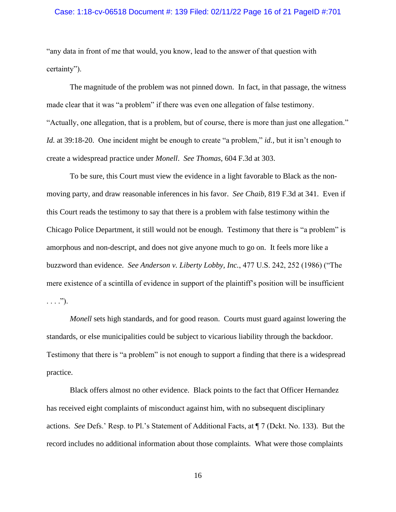### Case: 1:18-cv-06518 Document #: 139 Filed: 02/11/22 Page 16 of 21 PageID #:701

"any data in front of me that would, you know, lead to the answer of that question with certainty").

The magnitude of the problem was not pinned down. In fact, in that passage, the witness made clear that it was "a problem" if there was even one allegation of false testimony. "Actually, one allegation, that is a problem, but of course, there is more than just one allegation." *Id.* at 39:18-20. One incident might be enough to create "a problem," *id.*, but it isn't enough to create a widespread practice under *Monell*. *See Thomas*, 604 F.3d at 303.

To be sure, this Court must view the evidence in a light favorable to Black as the nonmoving party, and draw reasonable inferences in his favor. *See Chaib*, 819 F.3d at 341. Even if this Court reads the testimony to say that there is a problem with false testimony within the Chicago Police Department, it still would not be enough. Testimony that there is "a problem" is amorphous and non-descript, and does not give anyone much to go on. It feels more like a buzzword than evidence. *See Anderson v. Liberty Lobby, Inc.*, 477 U.S. 242, 252 (1986) ("The mere existence of a scintilla of evidence in support of the plaintiff's position will be insufficient  $\ldots$ .").

*Monell* sets high standards, and for good reason. Courts must guard against lowering the standards, or else municipalities could be subject to vicarious liability through the backdoor. Testimony that there is "a problem" is not enough to support a finding that there is a widespread practice.

Black offers almost no other evidence. Black points to the fact that Officer Hernandez has received eight complaints of misconduct against him, with no subsequent disciplinary actions. *See* Defs.' Resp. to Pl.'s Statement of Additional Facts, at ¶ 7 (Dckt. No. 133). But the record includes no additional information about those complaints. What were those complaints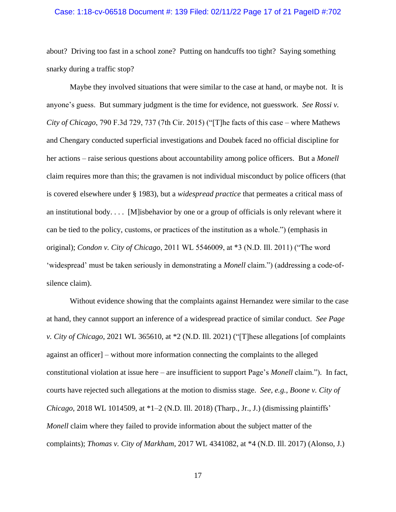### Case: 1:18-cv-06518 Document #: 139 Filed: 02/11/22 Page 17 of 21 PageID #:702

about? Driving too fast in a school zone? Putting on handcuffs too tight? Saying something snarky during a traffic stop?

Maybe they involved situations that were similar to the case at hand, or maybe not. It is anyone's guess. But summary judgment is the time for evidence, not guesswork. *See Rossi v. City of Chicago*, 790 F.3d 729, 737 (7th Cir. 2015) ("[T]he facts of this case – where Mathews and Chengary conducted superficial investigations and Doubek faced no official discipline for her actions – raise serious questions about accountability among police officers. But a *Monell* claim requires more than this; the gravamen is not individual misconduct by police officers (that is covered elsewhere under § 1983), but a *widespread practice* that permeates a critical mass of an institutional body. . . . [M]isbehavior by one or a group of officials is only relevant where it can be tied to the policy, customs, or practices of the institution as a whole.") (emphasis in original); *Condon v. City of Chicago*, 2011 WL 5546009, at \*3 (N.D. Ill. 2011) ("The word 'widespread' must be taken seriously in demonstrating a *Monell* claim.") (addressing a code-ofsilence claim).

Without evidence showing that the complaints against Hernandez were similar to the case at hand, they cannot support an inference of a widespread practice of similar conduct. *See Page v. City of Chicago*, 2021 WL 365610, at \*2 (N.D. Ill. 2021) ("[T]hese allegations [of complaints against an officer] – without more information connecting the complaints to the alleged constitutional violation at issue here – are insufficient to support Page's *Monell* claim."). In fact, courts have rejected such allegations at the motion to dismiss stage. *See, e.g.*, *Boone v. City of Chicago*, 2018 WL 1014509, at \*1–2 (N.D. Ill. 2018) (Tharp., Jr., J.) (dismissing plaintiffs' *Monell* claim where they failed to provide information about the subject matter of the complaints); *Thomas v. City of Markham*, 2017 WL 4341082, at \*4 (N.D. Ill. 2017) (Alonso, J.)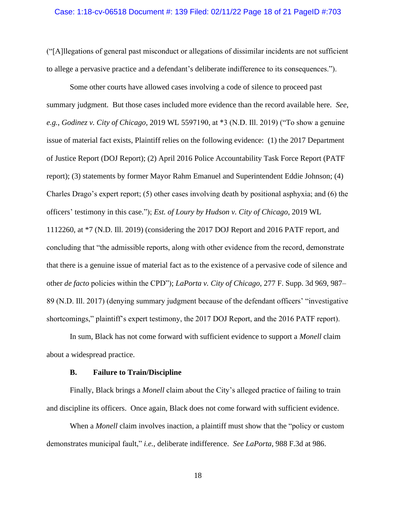### Case: 1:18-cv-06518 Document #: 139 Filed: 02/11/22 Page 18 of 21 PageID #:703

("[A]llegations of general past misconduct or allegations of dissimilar incidents are not sufficient to allege a pervasive practice and a defendant's deliberate indifference to its consequences.").

Some other courts have allowed cases involving a code of silence to proceed past summary judgment. But those cases included more evidence than the record available here. *See, e.g.*, *Godinez v. City of Chicago*, 2019 WL 5597190, at \*3 (N.D. Ill. 2019) ("To show a genuine issue of material fact exists, Plaintiff relies on the following evidence: (1) the 2017 Department of Justice Report (DOJ Report); (2) April 2016 Police Accountability Task Force Report (PATF report); (3) statements by former Mayor Rahm Emanuel and Superintendent Eddie Johnson; (4) Charles Drago's expert report; (5) other cases involving death by positional asphyxia; and (6) the officers' testimony in this case."); *Est. of Loury by Hudson v. City of Chicago*, 2019 WL 1112260, at \*7 (N.D. Ill. 2019) (considering the 2017 DOJ Report and 2016 PATF report, and concluding that "the admissible reports, along with other evidence from the record, demonstrate that there is a genuine issue of material fact as to the existence of a pervasive code of silence and other *de facto* policies within the CPD"); *LaPorta v. City of Chicago*, 277 F. Supp. 3d 969, 987– 89 (N.D. Ill. 2017) (denying summary judgment because of the defendant officers' "investigative shortcomings," plaintiff's expert testimony, the 2017 DOJ Report, and the 2016 PATF report).

In sum, Black has not come forward with sufficient evidence to support a *Monell* claim about a widespread practice.

#### **B. Failure to Train/Discipline**

Finally, Black brings a *Monell* claim about the City's alleged practice of failing to train and discipline its officers. Once again, Black does not come forward with sufficient evidence.

When a *Monell* claim involves inaction, a plaintiff must show that the "policy or custom demonstrates municipal fault," *i.e.*, deliberate indifference. *See LaPorta*, 988 F.3d at 986.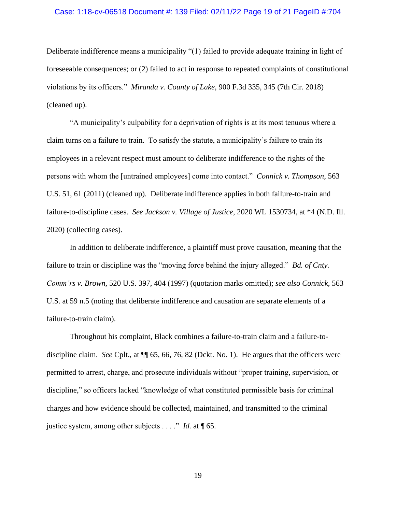### Case: 1:18-cv-06518 Document #: 139 Filed: 02/11/22 Page 19 of 21 PageID #:704

Deliberate indifference means a municipality "(1) failed to provide adequate training in light of foreseeable consequences; or (2) failed to act in response to repeated complaints of constitutional violations by its officers." *Miranda v. County of Lake*, 900 F.3d 335, 345 (7th Cir. 2018) (cleaned up).

"A municipality's culpability for a deprivation of rights is at its most tenuous where a claim turns on a failure to train. To satisfy the statute, a municipality's failure to train its employees in a relevant respect must amount to deliberate indifference to the rights of the persons with whom the [untrained employees] come into contact." *Connick v. Thompson*, 563 U.S. 51, 61 (2011) (cleaned up). Deliberate indifference applies in both failure-to-train and failure-to-discipline cases. *See Jackson v. Village of Justice*, 2020 WL 1530734, at \*4 (N.D. Ill. 2020) (collecting cases).

In addition to deliberate indifference, a plaintiff must prove causation, meaning that the failure to train or discipline was the "moving force behind the injury alleged." *Bd. of Cnty. Comm'rs v. Brown*, 520 U.S. 397, 404 (1997) (quotation marks omitted); *see also Connick*, 563 U.S. at 59 n.5 (noting that deliberate indifference and causation are separate elements of a failure-to-train claim).

Throughout his complaint, Black combines a failure-to-train claim and a failure-todiscipline claim. *See* Cplt., at ¶¶ 65, 66, 76, 82 (Dckt. No. 1). He argues that the officers were permitted to arrest, charge, and prosecute individuals without "proper training, supervision, or discipline," so officers lacked "knowledge of what constituted permissible basis for criminal charges and how evidence should be collected, maintained, and transmitted to the criminal justice system, among other subjects . . . ." *Id.* at ¶ 65.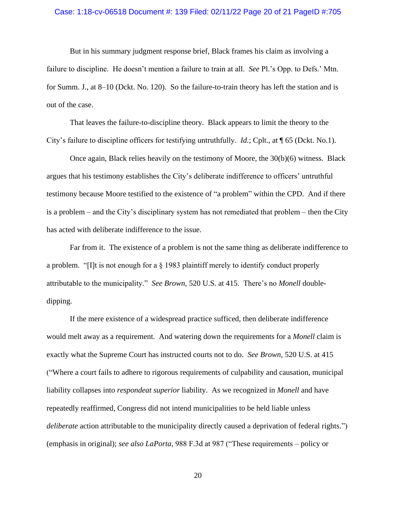### Case: 1:18-cv-06518 Document #: 139 Filed: 02/11/22 Page 20 of 21 PageID #:705

But in his summary judgment response brief, Black frames his claim as involving a failure to discipline. He doesn't mention a failure to train at all. *See* Pl.'s Opp. to Defs.' Mtn. for Summ. J., at 8–10 (Dckt. No. 120). So the failure-to-train theory has left the station and is out of the case.

That leaves the failure-to-discipline theory. Black appears to limit the theory to the City's failure to discipline officers for testifying untruthfully. *Id.*; Cplt., at ¶ 65 (Dckt. No.1).

Once again, Black relies heavily on the testimony of Moore, the  $30(b)(6)$  witness. Black argues that his testimony establishes the City's deliberate indifference to officers' untruthful testimony because Moore testified to the existence of "a problem" within the CPD. And if there is a problem – and the City's disciplinary system has not remediated that problem – then the City has acted with deliberate indifference to the issue.

Far from it. The existence of a problem is not the same thing as deliberate indifference to a problem. "[I]t is not enough for a § 1983 plaintiff merely to identify conduct properly attributable to the municipality." *See Brown*, 520 U.S. at 415. There's no *Monell* doubledipping.

If the mere existence of a widespread practice sufficed, then deliberate indifference would melt away as a requirement. And watering down the requirements for a *Monell* claim is exactly what the Supreme Court has instructed courts not to do. *See Brown*, 520 U.S. at 415 ("Where a court fails to adhere to rigorous requirements of culpability and causation, municipal liability collapses into *respondeat superior* liability. As we recognized in *[Monell](https://1.next.westlaw.com/Link/Document/FullText?findType=Y&serNum=1978114250&pubNum=0000780&originatingDoc=I38a247a0760711eb91b78705c7189b3d&refType=RP&originationContext=document&transitionType=DocumentItem&ppcid=1e8166cfaa3d43eb813039530c088545&contextData=(sc.DocLink))* and have repeatedly reaffirmed, Congress did not intend municipalities to be held liable unless *deliberate* action attributable to the municipality directly caused a deprivation of federal rights.") (emphasis in original); *see also LaPorta*, 988 F.3d at 987 ("These requirements – policy or